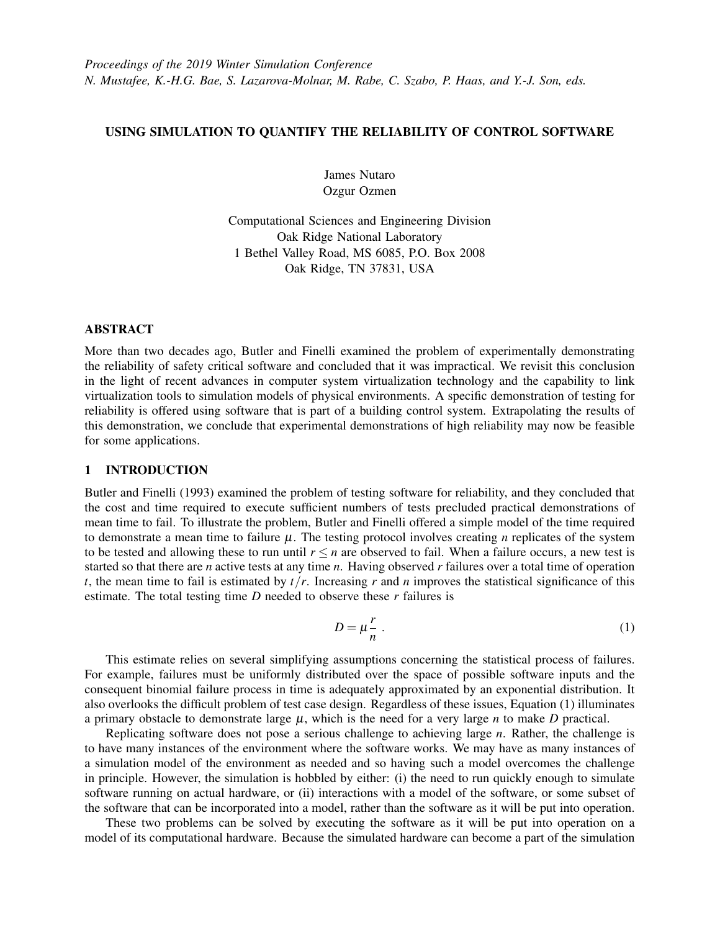# USING SIMULATION TO QUANTIFY THE RELIABILITY OF CONTROL SOFTWARE

James Nutaro Ozgur Ozmen

Computational Sciences and Engineering Division Oak Ridge National Laboratory 1 Bethel Valley Road, MS 6085, P.O. Box 2008 Oak Ridge, TN 37831, USA

## ABSTRACT

More than two decades ago, Butler and Finelli examined the problem of experimentally demonstrating the reliability of safety critical software and concluded that it was impractical. We revisit this conclusion in the light of recent advances in computer system virtualization technology and the capability to link virtualization tools to simulation models of physical environments. A specific demonstration of testing for reliability is offered using software that is part of a building control system. Extrapolating the results of this demonstration, we conclude that experimental demonstrations of high reliability may now be feasible for some applications.

## 1 INTRODUCTION

[Butler and Finelli \(1993\)](#page-8-0) examined the problem of testing software for reliability, and they concluded that the cost and time required to execute sufficient numbers of tests precluded practical demonstrations of mean time to fail. To illustrate the problem, Butler and Finelli offered a simple model of the time required to demonstrate a mean time to failure  $\mu$ . The testing protocol involves creating *n* replicates of the system to be tested and allowing these to run until  $r \leq n$  are observed to fail. When a failure occurs, a new test is started so that there are *n* active tests at any time *n*. Having observed *r* failures over a total time of operation *t*, the mean time to fail is estimated by  $t/r$ . Increasing *r* and *n* improves the statistical significance of this estimate. The total testing time *D* needed to observe these *r* failures is

<span id="page-0-0"></span>
$$
D = \mu \frac{r}{n} \tag{1}
$$

This estimate relies on several simplifying assumptions concerning the statistical process of failures. For example, failures must be uniformly distributed over the space of possible software inputs and the consequent binomial failure process in time is adequately approximated by an exponential distribution. It also overlooks the difficult problem of test case design. Regardless of these issues, Equation [\(1\)](#page-0-0) illuminates a primary obstacle to demonstrate large  $\mu$ , which is the need for a very large *n* to make *D* practical.

Replicating software does not pose a serious challenge to achieving large *n*. Rather, the challenge is to have many instances of the environment where the software works. We may have as many instances of a simulation model of the environment as needed and so having such a model overcomes the challenge in principle. However, the simulation is hobbled by either: (i) the need to run quickly enough to simulate software running on actual hardware, or (ii) interactions with a model of the software, or some subset of the software that can be incorporated into a model, rather than the software as it will be put into operation.

These two problems can be solved by executing the software as it will be put into operation on a model of its computational hardware. Because the simulated hardware can become a part of the simulation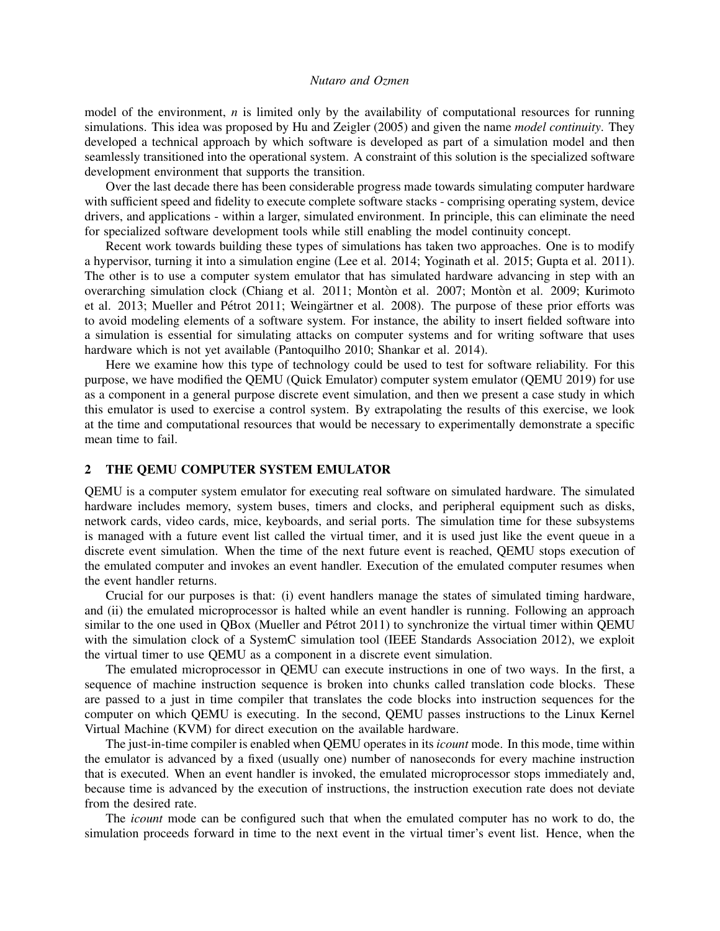model of the environment, *n* is limited only by the availability of computational resources for running simulations. This idea was proposed by [Hu and Zeigler \(2005\)](#page-8-1) and given the name *model continuity*. They developed a technical approach by which software is developed as part of a simulation model and then seamlessly transitioned into the operational system. A constraint of this solution is the specialized software development environment that supports the transition.

Over the last decade there has been considerable progress made towards simulating computer hardware with sufficient speed and fidelity to execute complete software stacks - comprising operating system, device drivers, and applications - within a larger, simulated environment. In principle, this can eliminate the need for specialized software development tools while still enabling the model continuity concept.

Recent work towards building these types of simulations has taken two approaches. One is to modify a hypervisor, turning it into a simulation engine [\(Lee et al. 2014;](#page-8-2) [Yoginath et al. 2015;](#page-8-3) [Gupta et al. 2011\)](#page-8-4). The other is to use a computer system emulator that has simulated hardware advancing in step with an overarching simulation clock [\(Chiang et al. 2011;](#page-8-5) [Monton et al. 2007](#page-8-6); [Monton et al. 2009](#page-8-7); [Kurimoto](#page-8-8) [et al. 2013;](#page-8-8) Mueller and Pétrot 2011; Weingärtner et al. 2008). The purpose of these prior efforts was to avoid modeling elements of a software system. For instance, the ability to insert fielded software into a simulation is essential for simulating attacks on computer systems and for writing software that uses hardware which is not yet available [\(Pantoquilho 2010;](#page-8-11) [Shankar et al. 2014\)](#page-8-12).

Here we examine how this type of technology could be used to test for software reliability. For this purpose, we have modified the QEMU (Quick Emulator) computer system emulator [\(QEMU 2019\)](#page-8-13) for use as a component in a general purpose discrete event simulation, and then we present a case study in which this emulator is used to exercise a control system. By extrapolating the results of this exercise, we look at the time and computational resources that would be necessary to experimentally demonstrate a specific mean time to fail.

### <span id="page-1-0"></span>2 THE QEMU COMPUTER SYSTEM EMULATOR

QEMU is a computer system emulator for executing real software on simulated hardware. The simulated hardware includes memory, system buses, timers and clocks, and peripheral equipment such as disks, network cards, video cards, mice, keyboards, and serial ports. The simulation time for these subsystems is managed with a future event list called the virtual timer, and it is used just like the event queue in a discrete event simulation. When the time of the next future event is reached, QEMU stops execution of the emulated computer and invokes an event handler. Execution of the emulated computer resumes when the event handler returns.

Crucial for our purposes is that: (i) event handlers manage the states of simulated timing hardware, and (ii) the emulated microprocessor is halted while an event handler is running. Following an approach similar to the one used in QBox (Mueller and Pétrot 2011) to synchronize the virtual timer within QEMU with the simulation clock of a SystemC simulation tool [\(IEEE Standards Association 2012\)](#page-8-14), we exploit the virtual timer to use QEMU as a component in a discrete event simulation.

The emulated microprocessor in QEMU can execute instructions in one of two ways. In the first, a sequence of machine instruction sequence is broken into chunks called translation code blocks. These are passed to a just in time compiler that translates the code blocks into instruction sequences for the computer on which QEMU is executing. In the second, QEMU passes instructions to the Linux Kernel Virtual Machine (KVM) for direct execution on the available hardware.

The just-in-time compiler is enabled when QEMU operates in its *icount* mode. In this mode, time within the emulator is advanced by a fixed (usually one) number of nanoseconds for every machine instruction that is executed. When an event handler is invoked, the emulated microprocessor stops immediately and, because time is advanced by the execution of instructions, the instruction execution rate does not deviate from the desired rate.

The *icount* mode can be configured such that when the emulated computer has no work to do, the simulation proceeds forward in time to the next event in the virtual timer's event list. Hence, when the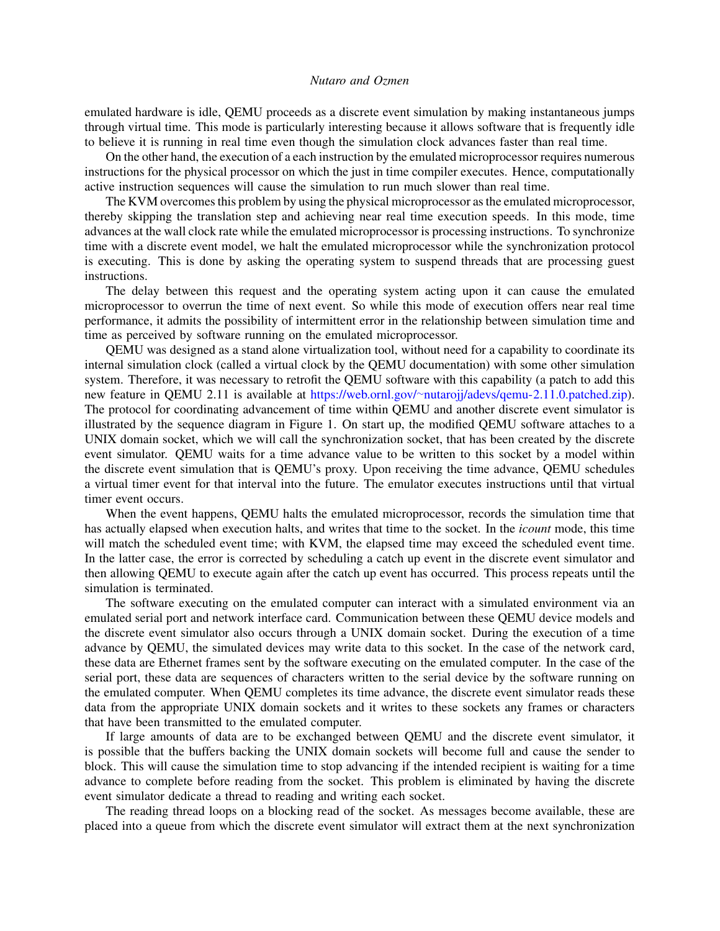emulated hardware is idle, QEMU proceeds as a discrete event simulation by making instantaneous jumps through virtual time. This mode is particularly interesting because it allows software that is frequently idle to believe it is running in real time even though the simulation clock advances faster than real time.

On the other hand, the execution of a each instruction by the emulated microprocessor requires numerous instructions for the physical processor on which the just in time compiler executes. Hence, computationally active instruction sequences will cause the simulation to run much slower than real time.

The KVM overcomes this problem by using the physical microprocessor as the emulated microprocessor, thereby skipping the translation step and achieving near real time execution speeds. In this mode, time advances at the wall clock rate while the emulated microprocessor is processing instructions. To synchronize time with a discrete event model, we halt the emulated microprocessor while the synchronization protocol is executing. This is done by asking the operating system to suspend threads that are processing guest instructions.

The delay between this request and the operating system acting upon it can cause the emulated microprocessor to overrun the time of next event. So while this mode of execution offers near real time performance, it admits the possibility of intermittent error in the relationship between simulation time and time as perceived by software running on the emulated microprocessor.

QEMU was designed as a stand alone virtualization tool, without need for a capability to coordinate its internal simulation clock (called a virtual clock by the QEMU documentation) with some other simulation system. Therefore, it was necessary to retrofit the QEMU software with this capability (a patch to add this new feature in QEMU 2.11 is available at https://web.ornl.gov/∼[nutarojj/adevs/qemu-2.11.0.patched.zip\)](https://web.ornl.gov/~nutarojj/adevs/qemu-2.11.0.patched.zip). The protocol for coordinating advancement of time within QEMU and another discrete event simulator is illustrated by the sequence diagram in Figure [1.](#page-3-0) On start up, the modified QEMU software attaches to a UNIX domain socket, which we will call the synchronization socket, that has been created by the discrete event simulator. QEMU waits for a time advance value to be written to this socket by a model within the discrete event simulation that is QEMU's proxy. Upon receiving the time advance, QEMU schedules a virtual timer event for that interval into the future. The emulator executes instructions until that virtual timer event occurs.

When the event happens, QEMU halts the emulated microprocessor, records the simulation time that has actually elapsed when execution halts, and writes that time to the socket. In the *icount* mode, this time will match the scheduled event time; with KVM, the elapsed time may exceed the scheduled event time. In the latter case, the error is corrected by scheduling a catch up event in the discrete event simulator and then allowing QEMU to execute again after the catch up event has occurred. This process repeats until the simulation is terminated.

The software executing on the emulated computer can interact with a simulated environment via an emulated serial port and network interface card. Communication between these QEMU device models and the discrete event simulator also occurs through a UNIX domain socket. During the execution of a time advance by QEMU, the simulated devices may write data to this socket. In the case of the network card, these data are Ethernet frames sent by the software executing on the emulated computer. In the case of the serial port, these data are sequences of characters written to the serial device by the software running on the emulated computer. When QEMU completes its time advance, the discrete event simulator reads these data from the appropriate UNIX domain sockets and it writes to these sockets any frames or characters that have been transmitted to the emulated computer.

If large amounts of data are to be exchanged between QEMU and the discrete event simulator, it is possible that the buffers backing the UNIX domain sockets will become full and cause the sender to block. This will cause the simulation time to stop advancing if the intended recipient is waiting for a time advance to complete before reading from the socket. This problem is eliminated by having the discrete event simulator dedicate a thread to reading and writing each socket.

The reading thread loops on a blocking read of the socket. As messages become available, these are placed into a queue from which the discrete event simulator will extract them at the next synchronization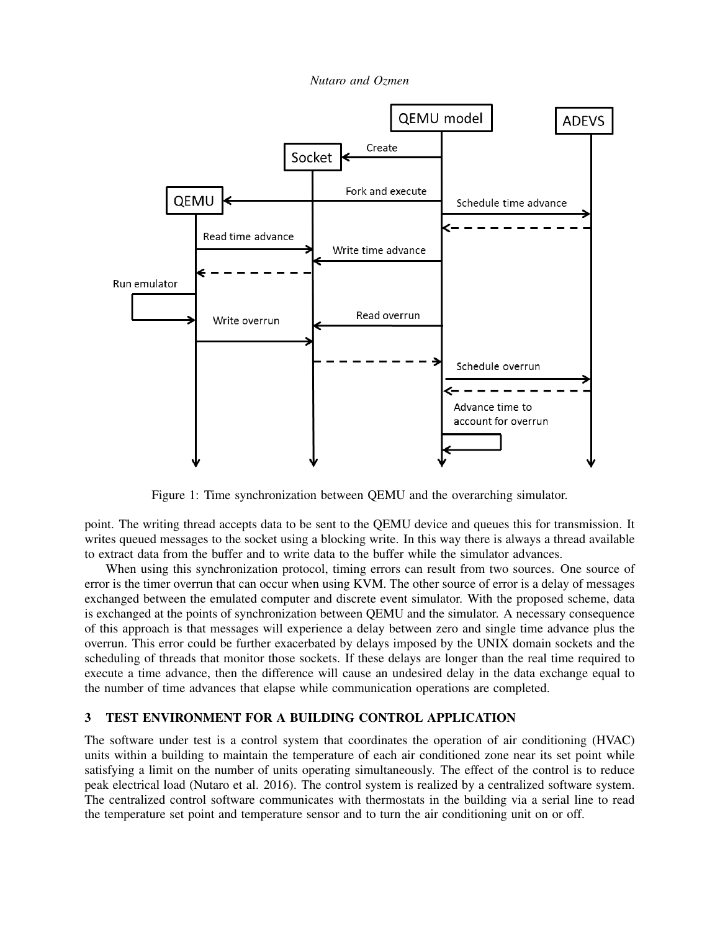*Nutaro and Ozmen*



<span id="page-3-0"></span>Figure 1: Time synchronization between QEMU and the overarching simulator.

point. The writing thread accepts data to be sent to the QEMU device and queues this for transmission. It writes queued messages to the socket using a blocking write. In this way there is always a thread available to extract data from the buffer and to write data to the buffer while the simulator advances.

When using this synchronization protocol, timing errors can result from two sources. One source of error is the timer overrun that can occur when using KVM. The other source of error is a delay of messages exchanged between the emulated computer and discrete event simulator. With the proposed scheme, data is exchanged at the points of synchronization between QEMU and the simulator. A necessary consequence of this approach is that messages will experience a delay between zero and single time advance plus the overrun. This error could be further exacerbated by delays imposed by the UNIX domain sockets and the scheduling of threads that monitor those sockets. If these delays are longer than the real time required to execute a time advance, then the difference will cause an undesired delay in the data exchange equal to the number of time advances that elapse while communication operations are completed.

# 3 TEST ENVIRONMENT FOR A BUILDING CONTROL APPLICATION

The software under test is a control system that coordinates the operation of air conditioning (HVAC) units within a building to maintain the temperature of each air conditioned zone near its set point while satisfying a limit on the number of units operating simultaneously. The effect of the control is to reduce peak electrical load [\(Nutaro et al. 2016\)](#page-8-15). The control system is realized by a centralized software system. The centralized control software communicates with thermostats in the building via a serial line to read the temperature set point and temperature sensor and to turn the air conditioning unit on or off.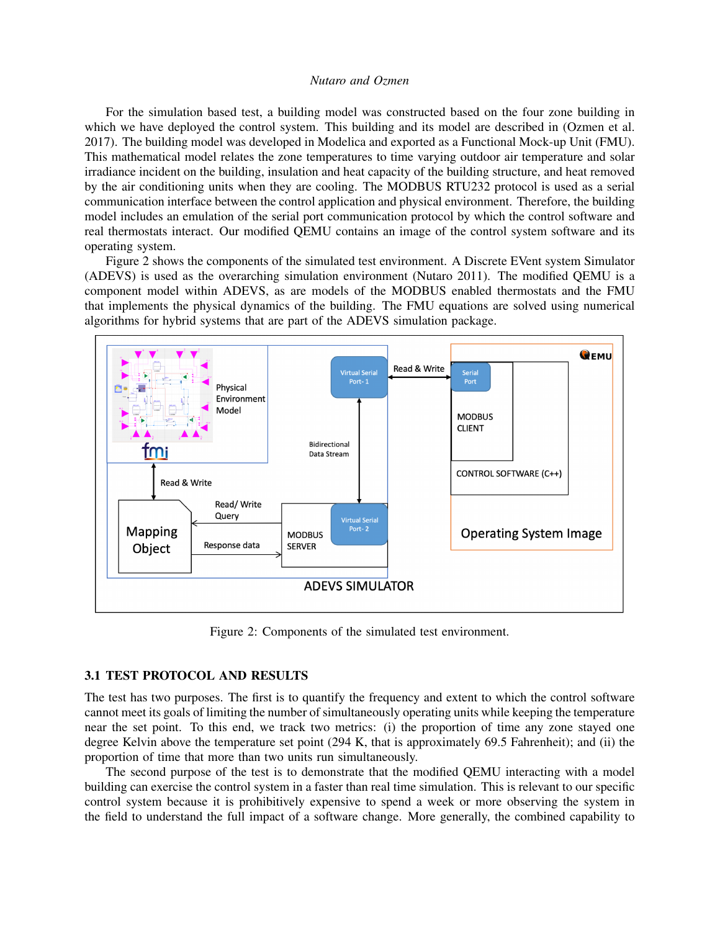For the simulation based test, a building model was constructed based on the four zone building in which we have deployed the control system. This building and its model are described in [\(Ozmen et al.](#page-8-16) [2017\)](#page-8-16). The building model was developed in Modelica and exported as a Functional Mock-up Unit (FMU). This mathematical model relates the zone temperatures to time varying outdoor air temperature and solar irradiance incident on the building, insulation and heat capacity of the building structure, and heat removed by the air conditioning units when they are cooling. The MODBUS RTU232 protocol is used as a serial communication interface between the control application and physical environment. Therefore, the building model includes an emulation of the serial port communication protocol by which the control software and real thermostats interact. Our modified QEMU contains an image of the control system software and its operating system.

Figure [2](#page-4-0) shows the components of the simulated test environment. A Discrete EVent system Simulator (ADEVS) is used as the overarching simulation environment [\(Nutaro 2011\)](#page-8-17). The modified QEMU is a component model within ADEVS, as are models of the MODBUS enabled thermostats and the FMU that implements the physical dynamics of the building. The FMU equations are solved using numerical algorithms for hybrid systems that are part of the ADEVS simulation package.



<span id="page-4-0"></span>Figure 2: Components of the simulated test environment.

# <span id="page-4-1"></span>3.1 TEST PROTOCOL AND RESULTS

The test has two purposes. The first is to quantify the frequency and extent to which the control software cannot meet its goals of limiting the number of simultaneously operating units while keeping the temperature near the set point. To this end, we track two metrics: (i) the proportion of time any zone stayed one degree Kelvin above the temperature set point (294 K, that is approximately 69.5 Fahrenheit); and (ii) the proportion of time that more than two units run simultaneously.

The second purpose of the test is to demonstrate that the modified QEMU interacting with a model building can exercise the control system in a faster than real time simulation. This is relevant to our specific control system because it is prohibitively expensive to spend a week or more observing the system in the field to understand the full impact of a software change. More generally, the combined capability to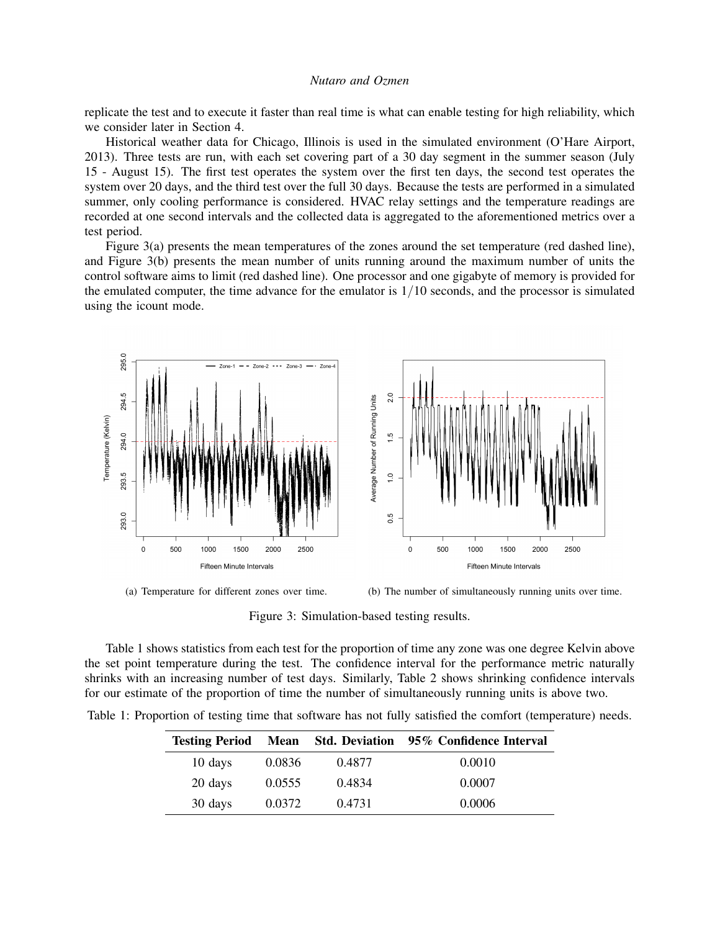replicate the test and to execute it faster than real time is what can enable testing for high reliability, which we consider later in Section [4.](#page-6-0)

Historical weather data for Chicago, Illinois is used in the simulated environment (O'Hare Airport, 2013). Three tests are run, with each set covering part of a 30 day segment in the summer season (July 15 - August 15). The first test operates the system over the first ten days, the second test operates the system over 20 days, and the third test over the full 30 days. Because the tests are performed in a simulated summer, only cooling performance is considered. HVAC relay settings and the temperature readings are recorded at one second intervals and the collected data is aggregated to the aforementioned metrics over a test period.

Figure [3\(](#page-5-0)a) presents the mean temperatures of the zones around the set temperature (red dashed line), and Figure [3\(](#page-5-0)b) presents the mean number of units running around the maximum number of units the control software aims to limit (red dashed line). One processor and one gigabyte of memory is provided for the emulated computer, the time advance for the emulator is  $1/10$  seconds, and the processor is simulated using the icount mode.



(a) Temperature for different zones over time. (b) The number of simultaneously running units over time.

<span id="page-5-0"></span>Figure 3: Simulation-based testing results.

Table [1](#page-5-1) shows statistics from each test for the proportion of time any zone was one degree Kelvin above the set point temperature during the test. The confidence interval for the performance metric naturally shrinks with an increasing number of test days. Similarly, Table [2](#page-6-1) shows shrinking confidence intervals for our estimate of the proportion of time the number of simultaneously running units is above two.

|  | Table 1: Proportion of testing time that software has not fully satisfied the comfort (temperature) needs. |  |  |  |  |  |  |  |  |
|--|------------------------------------------------------------------------------------------------------------|--|--|--|--|--|--|--|--|
|  |                                                                                                            |  |  |  |  |  |  |  |  |

<span id="page-5-1"></span>

| <b>Testing Period</b> | <b>Mean</b> |        | Std. Deviation 95% Confidence Interval |
|-----------------------|-------------|--------|----------------------------------------|
| 10 days               | 0.0836      | 0.4877 | 0.0010                                 |
| 20 days               | 0.0555      | 0.4834 | 0.0007                                 |
| 30 days               | 0.0372      | 0.4731 | 0.0006                                 |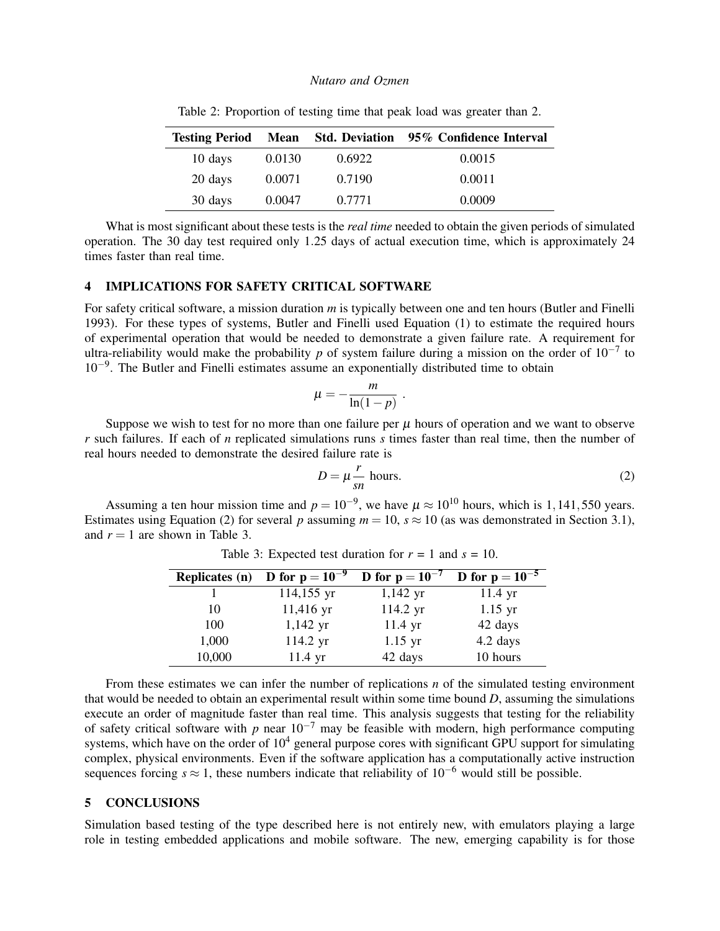| <b>Testing Period</b> |        |        | Mean Std. Deviation 95% Confidence Interval |
|-----------------------|--------|--------|---------------------------------------------|
| 10 days               | 0.0130 | 0.6922 | 0.0015                                      |
| 20 days               | 0.0071 | 0.7190 | 0.0011                                      |
| 30 days               | 0.0047 | 0.7771 | 0.0009                                      |

<span id="page-6-1"></span>Table 2: Proportion of testing time that peak load was greater than 2.

What is most significant about these tests is the *real time* needed to obtain the given periods of simulated operation. The 30 day test required only 1.25 days of actual execution time, which is approximately 24 times faster than real time.

# <span id="page-6-0"></span>4 IMPLICATIONS FOR SAFETY CRITICAL SOFTWARE

For safety critical software, a mission duration *m* is typically between one and ten hours [\(Butler and Finelli](#page-8-0) [1993\)](#page-8-0). For these types of systems, Butler and Finelli used Equation [\(1\)](#page-0-0) to estimate the required hours of experimental operation that would be needed to demonstrate a given failure rate. A requirement for ultra-reliability would make the probability *p* of system failure during a mission on the order of  $10^{-7}$  to 10−<sup>9</sup> . The Butler and Finelli estimates assume an exponentially distributed time to obtain

$$
\mu = -\frac{m}{\ln(1-p)}
$$

.

Suppose we wish to test for no more than one failure per  $\mu$  hours of operation and we want to observe *r* such failures. If each of *n* replicated simulations runs *s* times faster than real time, then the number of real hours needed to demonstrate the desired failure rate is

<span id="page-6-2"></span>
$$
D = \mu \frac{r}{sn} \text{ hours.}
$$
 (2)

Assuming a ten hour mission time and  $p = 10^{-9}$ , we have  $\mu \approx 10^{10}$  hours, which is 1,141,550 years. Estimates using Equation [\(2\)](#page-6-2) for several *p* assuming  $m = 10$ ,  $s \approx 10$  (as was demonstrated in Section [3.1\)](#page-4-1), and  $r = 1$  are shown in Table [3.](#page-6-3)

| <b>Replicates (n)</b> | <b>D</b> for $p = 10^{-9}$ | <b>D</b> for $p = 10^{-7}$ | <b>D</b> for $p = 10^{-5}$ |
|-----------------------|----------------------------|----------------------------|----------------------------|
|                       | 114,155 yr                 | $1,142 \text{ yr}$         | $11.4 \text{ yr}$          |
| 10                    | 11,416 yr                  | 114.2 yr                   | $1.15$ yr                  |
| 100                   | $1,142 \text{ yr}$         | $11.4$ yr                  | 42 days                    |
| 1,000                 | 114.2 yr                   | $1.15$ yr                  | 4.2 days                   |
| 10,000                | $11.4 \text{ yr}$          | 42 days                    | 10 hours                   |

<span id="page-6-3"></span>Table 3: Expected test duration for  $r = 1$  and  $s = 10$ .

From these estimates we can infer the number of replications *n* of the simulated testing environment that would be needed to obtain an experimental result within some time bound *D*, assuming the simulations execute an order of magnitude faster than real time. This analysis suggests that testing for the reliability of safety critical software with *p* near  $10^{-7}$  may be feasible with modern, high performance computing systems, which have on the order of  $10<sup>4</sup>$  general purpose cores with significant GPU support for simulating complex, physical environments. Even if the software application has a computationally active instruction sequences forcing  $s \approx 1$ , these numbers indicate that reliability of 10<sup>-6</sup> would still be possible.

### 5 CONCLUSIONS

Simulation based testing of the type described here is not entirely new, with emulators playing a large role in testing embedded applications and mobile software. The new, emerging capability is for those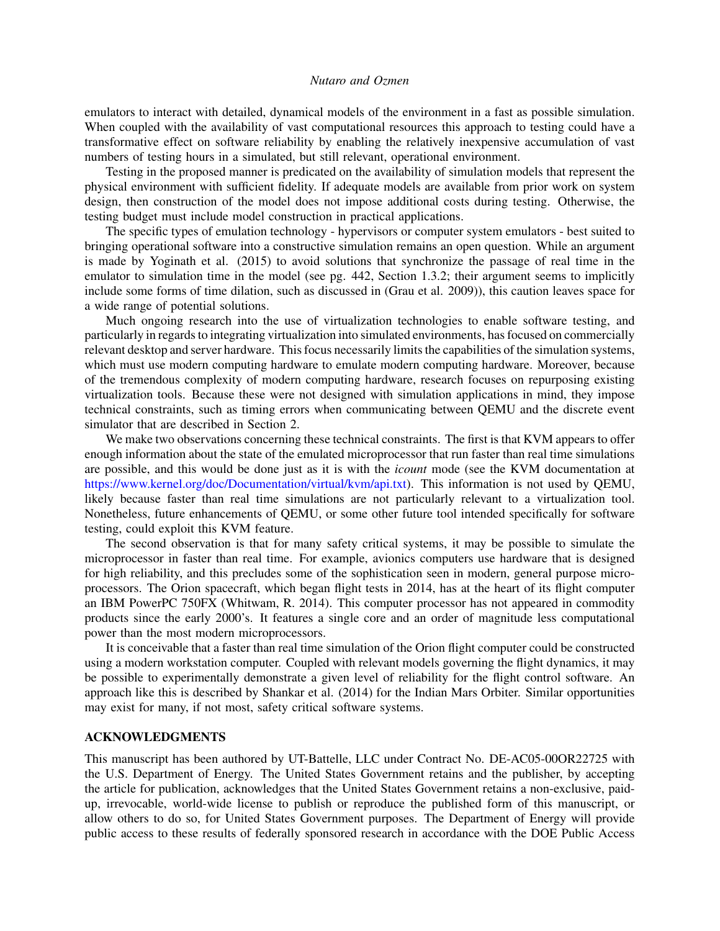emulators to interact with detailed, dynamical models of the environment in a fast as possible simulation. When coupled with the availability of vast computational resources this approach to testing could have a transformative effect on software reliability by enabling the relatively inexpensive accumulation of vast numbers of testing hours in a simulated, but still relevant, operational environment.

Testing in the proposed manner is predicated on the availability of simulation models that represent the physical environment with sufficient fidelity. If adequate models are available from prior work on system design, then construction of the model does not impose additional costs during testing. Otherwise, the testing budget must include model construction in practical applications.

The specific types of emulation technology - hypervisors or computer system emulators - best suited to bringing operational software into a constructive simulation remains an open question. While an argument is made by [Yoginath et al. \(2015\)](#page-8-3) to avoid solutions that synchronize the passage of real time in the emulator to simulation time in the model (see pg. 442, Section 1.3.2; their argument seems to implicitly include some forms of time dilation, such as discussed in [\(Grau et al. 2009\)](#page-8-18)), this caution leaves space for a wide range of potential solutions.

Much ongoing research into the use of virtualization technologies to enable software testing, and particularly in regards to integrating virtualization into simulated environments, has focused on commercially relevant desktop and server hardware. This focus necessarily limits the capabilities of the simulation systems, which must use modern computing hardware to emulate modern computing hardware. Moreover, because of the tremendous complexity of modern computing hardware, research focuses on repurposing existing virtualization tools. Because these were not designed with simulation applications in mind, they impose technical constraints, such as timing errors when communicating between QEMU and the discrete event simulator that are described in Section [2.](#page-1-0)

We make two observations concerning these technical constraints. The first is that KVM appears to offer enough information about the state of the emulated microprocessor that run faster than real time simulations are possible, and this would be done just as it is with the *icount* mode (see the KVM documentation at [https://www.kernel.org/doc/Documentation/virtual/kvm/api.txt\)](https://www.kernel.org/doc/Documentation/virtual/kvm/api.txt). This information is not used by QEMU, likely because faster than real time simulations are not particularly relevant to a virtualization tool. Nonetheless, future enhancements of QEMU, or some other future tool intended specifically for software testing, could exploit this KVM feature.

The second observation is that for many safety critical systems, it may be possible to simulate the microprocessor in faster than real time. For example, avionics computers use hardware that is designed for high reliability, and this precludes some of the sophistication seen in modern, general purpose microprocessors. The Orion spacecraft, which began flight tests in 2014, has at the heart of its flight computer an IBM PowerPC 750FX [\(Whitwam, R. 2014\)](#page-8-19). This computer processor has not appeared in commodity products since the early 2000's. It features a single core and an order of magnitude less computational power than the most modern microprocessors.

It is conceivable that a faster than real time simulation of the Orion flight computer could be constructed using a modern workstation computer. Coupled with relevant models governing the flight dynamics, it may be possible to experimentally demonstrate a given level of reliability for the flight control software. An approach like this is described by [Shankar et al. \(2014\)](#page-8-12) for the Indian Mars Orbiter. Similar opportunities may exist for many, if not most, safety critical software systems.

# ACKNOWLEDGMENTS

This manuscript has been authored by UT-Battelle, LLC under Contract No. DE-AC05-00OR22725 with the U.S. Department of Energy. The United States Government retains and the publisher, by accepting the article for publication, acknowledges that the United States Government retains a non-exclusive, paidup, irrevocable, world-wide license to publish or reproduce the published form of this manuscript, or allow others to do so, for United States Government purposes. The Department of Energy will provide public access to these results of federally sponsored research in accordance with the DOE Public Access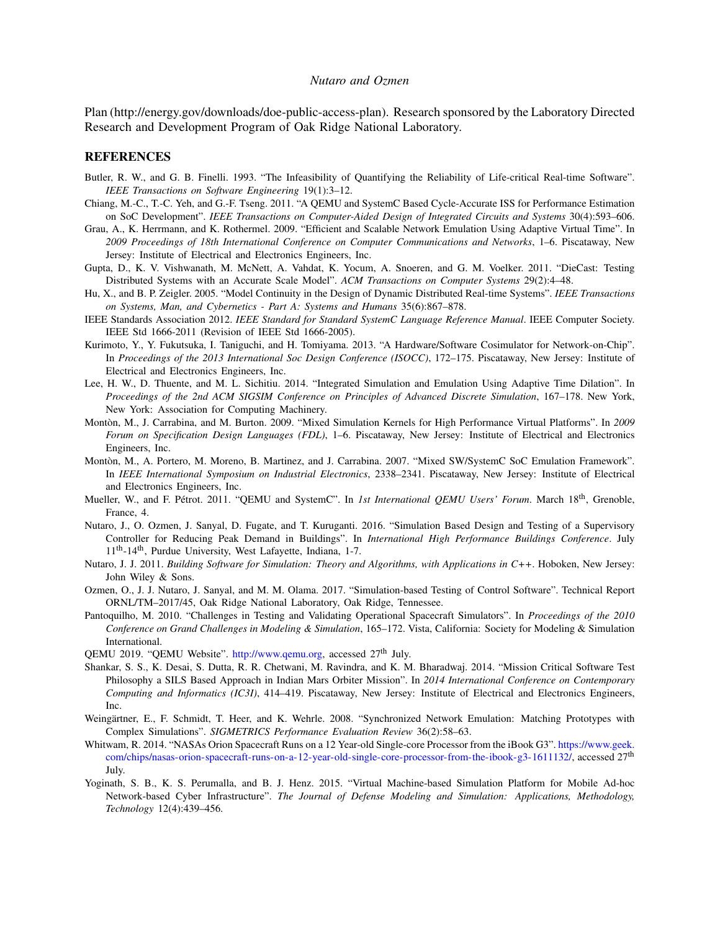Plan (http://energy.gov/downloads/doe-public-access-plan). Research sponsored by the Laboratory Directed Research and Development Program of Oak Ridge National Laboratory.

#### REFERENCES

- <span id="page-8-0"></span>Butler, R. W., and G. B. Finelli. 1993. "The Infeasibility of Quantifying the Reliability of Life-critical Real-time Software". *IEEE Transactions on Software Engineering* 19(1):3–12.
- <span id="page-8-5"></span>Chiang, M.-C., T.-C. Yeh, and G.-F. Tseng. 2011. "A QEMU and SystemC Based Cycle-Accurate ISS for Performance Estimation on SoC Development". *IEEE Transactions on Computer-Aided Design of Integrated Circuits and Systems* 30(4):593–606.
- <span id="page-8-18"></span>Grau, A., K. Herrmann, and K. Rothermel. 2009. "Efficient and Scalable Network Emulation Using Adaptive Virtual Time". In *2009 Proceedings of 18th International Conference on Computer Communications and Networks*, 1–6. Piscataway, New Jersey: Institute of Electrical and Electronics Engineers, Inc.
- <span id="page-8-4"></span>Gupta, D., K. V. Vishwanath, M. McNett, A. Vahdat, K. Yocum, A. Snoeren, and G. M. Voelker. 2011. "DieCast: Testing Distributed Systems with an Accurate Scale Model". *ACM Transactions on Computer Systems* 29(2):4–48.
- <span id="page-8-1"></span>Hu, X., and B. P. Zeigler. 2005. "Model Continuity in the Design of Dynamic Distributed Real-time Systems". *IEEE Transactions on Systems, Man, and Cybernetics - Part A: Systems and Humans* 35(6):867–878.
- <span id="page-8-14"></span>IEEE Standards Association 2012. *IEEE Standard for Standard SystemC Language Reference Manual*. IEEE Computer Society. IEEE Std 1666-2011 (Revision of IEEE Std 1666-2005).
- <span id="page-8-8"></span>Kurimoto, Y., Y. Fukutsuka, I. Taniguchi, and H. Tomiyama. 2013. "A Hardware/Software Cosimulator for Network-on-Chip". In *Proceedings of the 2013 International Soc Design Conference (ISOCC)*, 172–175. Piscataway, New Jersey: Institute of Electrical and Electronics Engineers, Inc.
- <span id="page-8-2"></span>Lee, H. W., D. Thuente, and M. L. Sichitiu. 2014. "Integrated Simulation and Emulation Using Adaptive Time Dilation". In *Proceedings of the 2nd ACM SIGSIM Conference on Principles of Advanced Discrete Simulation*, 167–178. New York, New York: Association for Computing Machinery.
- <span id="page-8-7"></span>Monton, M., J. Carrabina, and M. Burton. 2009. "Mixed Simulation Kernels for High Performance Virtual Platforms". In ` *2009 Forum on Specification Design Languages (FDL)*, 1–6. Piscataway, New Jersey: Institute of Electrical and Electronics Engineers, Inc.
- <span id="page-8-6"></span>Montòn, M., A. Portero, M. Moreno, B. Martinez, and J. Carrabina. 2007. "Mixed SW/SystemC SoC Emulation Framework". In *IEEE International Symposium on Industrial Electronics*, 2338–2341. Piscataway, New Jersey: Institute of Electrical and Electronics Engineers, Inc.
- <span id="page-8-9"></span>Mueller, W., and F. Pétrot. 2011. "QEMU and SystemC". In *1st International QEMU Users' Forum*. March 18<sup>th</sup>, Grenoble, France, 4.
- <span id="page-8-15"></span>Nutaro, J., O. Ozmen, J. Sanyal, D. Fugate, and T. Kuruganti. 2016. "Simulation Based Design and Testing of a Supervisory Controller for Reducing Peak Demand in Buildings". In *International High Performance Buildings Conference*. July 11th-14th, Purdue University, West Lafayette, Indiana, 1-7.
- <span id="page-8-17"></span>Nutaro, J. J. 2011. *Building Software for Simulation: Theory and Algorithms, with Applications in C++*. Hoboken, New Jersey: John Wiley & Sons.
- <span id="page-8-16"></span>Ozmen, O., J. J. Nutaro, J. Sanyal, and M. M. Olama. 2017. "Simulation-based Testing of Control Software". Technical Report ORNL/TM–2017/45, Oak Ridge National Laboratory, Oak Ridge, Tennessee.
- <span id="page-8-11"></span>Pantoquilho, M. 2010. "Challenges in Testing and Validating Operational Spacecraft Simulators". In *Proceedings of the 2010 Conference on Grand Challenges in Modeling & Simulation*, 165–172. Vista, California: Society for Modeling & Simulation International.

<span id="page-8-13"></span>QEMU 2019. "QEMU Website". [http://www.qemu.org,](http://www.qemu.org) accessed 27<sup>th</sup> July.

- <span id="page-8-12"></span>Shankar, S. S., K. Desai, S. Dutta, R. R. Chetwani, M. Ravindra, and K. M. Bharadwaj. 2014. "Mission Critical Software Test Philosophy a SILS Based Approach in Indian Mars Orbiter Mission". In *2014 International Conference on Contemporary Computing and Informatics (IC3I)*, 414–419. Piscataway, New Jersey: Institute of Electrical and Electronics Engineers, Inc.
- <span id="page-8-10"></span>Weingärtner, E., F. Schmidt, T. Heer, and K. Wehrle. 2008. "Synchronized Network Emulation: Matching Prototypes with Complex Simulations". *SIGMETRICS Performance Evaluation Review* 36(2):58–63.
- <span id="page-8-19"></span>Whitwam, R. 2014. "NASAs Orion Spacecraft Runs on a 12 Year-old Single-core Processor from the iBook G3". [https://www.geek.](https://www.geek.com/chips/nasas-orion-spacecraft-runs-on-a-12-year-old-single-core-processor-from-the-ibook-g3-1611132/) [com/chips/nasas-orion-spacecraft-runs-on-a-12-year-old-single-core-processor-from-the-ibook-g3-1611132/,](https://www.geek.com/chips/nasas-orion-spacecraft-runs-on-a-12-year-old-single-core-processor-from-the-ibook-g3-1611132/) accessed 27<sup>th</sup> July.
- <span id="page-8-3"></span>Yoginath, S. B., K. S. Perumalla, and B. J. Henz. 2015. "Virtual Machine-based Simulation Platform for Mobile Ad-hoc Network-based Cyber Infrastructure". *The Journal of Defense Modeling and Simulation: Applications, Methodology, Technology* 12(4):439–456.